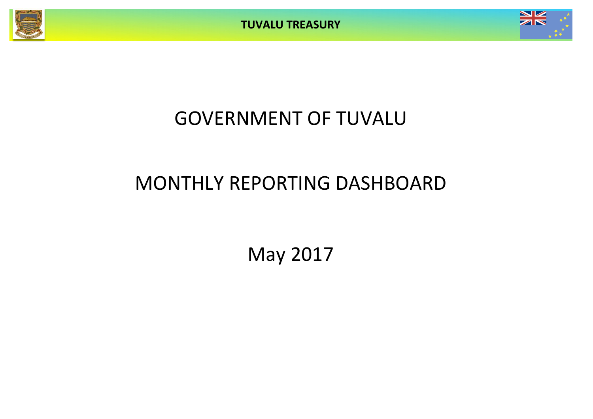**TUVALU TREASURY**



# GOVERNMENT OF TUVALU

# MONTHLY REPORTING DASHBOARD

May 2017

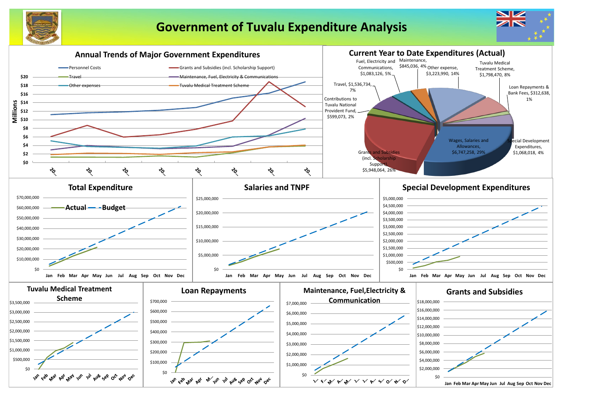

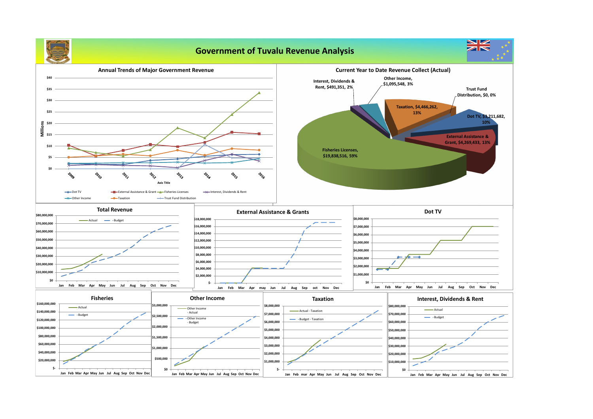**Government of Tuvalu Revenue Analysis**

 **\$-**

**Jan Feb Mar Apr May Jun Jul Aug Sep Oct Nov Dec**



 **\$-**

**\$0**

**Jan Feb Mar Apr May Jun Jul Aug Sep Oct Nov Dec**

**Annual Trends of Major Government Revenue \$40 \$35 \$30 \$25 \$20**<br><u>III</u><br>Millissa **\$15 \$10 \$5 \$0 POND LOL 2017 POLIC 2016** रे०१९ **z** FO. **Axis Title -** Dot TV **EXternal Assistance & Grant Fisheries Licenses** → Interest, Dividends & Rent → Other Income → Taxation → Trust Fund Distribution **Total Revenue External Assistance & Grants \$80,000,000 \$18,000,000** Actual **Budget \$70,000,000 \$16,000,000 \$60,000,000 \$14,000,000 \$50,000,000 \$12,000,000 \$10,000,000 \$40,000,000 \$8,000,000 \$30,000,000 \$6,000,000 \$20,000,000 \$4,000,000 \$10,000,000 \$2,000,000 \$0 \$- Jan Feb Mar Apr May Jun Jul Aug Sep Oct Nov Dec Jan Feb Mar Apr may Jun Jul Aug Sep oct Nov Dec Other Income Fisheries \$160,000,000 \$3,000,000 \$8,000,000 Actual** Other Income  **\$140,000,000** - Actual  **\$7,000,000** Budget **\$2,500,000 Cother Income \$120,000,000 \$6,000,000** - Budget **\$2,000,000 \$100,000,000 \$5,000,000 \$80,000,000 \$1,500,000 \$4,000,000 \$60,000,000 \$3,000,000 \$1,000,000 \$40,000,000 \$2,000,000 \$500,000 \$20,000,000 \$1,000,000**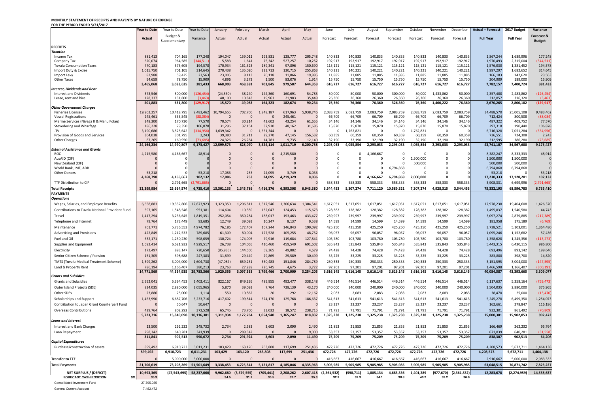### **MONTHLY STATEMENT OF RECEIPTS AND PAYENTS BY NATURE OF EXPENSE FOR THE PERIOD ENDED 5/31/2017**

**Actual** Budget & Supplementary Variance Actual Actual Actual Actual Actual Forecast Forecast Forecast Forecast Forecast Forecast Forecast **Full Year Full Year RECEIPTS** *Taxation* Income Tax 881,413 704,165 177,248 194,047 159,011 193,831 128,777 205,748 140,833 140,833 140,833 140,833 140,833 140,833 140,833 1,867,244 1,689,996 177,248 Company Tax 964,585 (344,511)| 5,583 1,641 75,342 527,257 10,252 192,917 192,917 192,917 192,917 192,917 1,970,493 2,315,004 (344,511) Tuvalu Consumption Taxes 575,605 194,578 170,934 161,323 189,341 97,896 150,690 115,121 115,121 115,121 115,121 115,121 1,576,030 1,381,452 194,578 Import Duty & Excise 1,015,750 701,105 314,645 270,438 135,020 223,713 130,715 255,863 140,221 140,221 140,221 140,221 140,221 140,221 140,221 1,997,297 1,682,652 314,645 Import Levy 59,425 23,563| 23,005 8,113 20,118 11,885 11,885 11,885 11,885 11,885 11,885 11,885 11,885 11,885 11,885 11,885 11,885 11,885 11,885 11,885 11,885 Other Taxes 78,750 15,909 4,896 3,273 1,500 83,076 1,914 15,750 15,750 15,750 15,750 15,750 15,750 15,750 15,750 15,750 15,750 169,000 189,000 15,909 3,465,068 3,083,635 381,433| 668,903 468,381 703,845 979,587 644,353 616,727 616,727 616,727 616,727 616,727 616,727 616,727 616,727 616,727 616,727 616,727 7,782,157 7,400,724 381,433 *Interest, Dividends and Rent* Interest and Dividends 500,000 (126,454)| (24,530) 38,240 144,360 160,691 50,000 50,000 50,000 50,000 50,000 50,000 50,000 2,357,408 2,483,862 (126,454) Lease, rent and hire 128,337 131,800 (3,463) 40,100 10,843 19,963 21,983 35,449 26,360 26,360 26,360 26,360 26,360 26,360 26,360 312,857 316,320 (3,463) *Other Government Charges* Fisheries Licenses 19,902,257 10,418,795 9,483,462 10,794,655 702,706 1,848,187 617,963 5,938,746 2,083,759 2,083,759 2,083,759 2,083,759 2,083,759 2,083,759 2,083,759 34,488,570 25,005,108 9,483,462 Vessel Registrations 245,461 333,545 (88,084)| 0 0 245,461 0 66,709 66,709 66,709 66,709 66,709 66,709 712,424 800,508 (88,084) Marine Services (Nivaga II & Manu Folau) 248,300 170,730 77,570 70,574 30,214 42,602 43,254 61,655 34,146 34,146 34,146 34,146 34,146 34,146 34,146 487,322 409,752 77,570 Stevedoring and Wharfage 186,228 196,878 196,878 31,296 37,154 37,930 48,162 31,686 15,870 15,870 15,870 15,870 15,870 15,870 15,870 15,870 15,870 15,870 15,870 15,870 15,870 15,870 15,870 15,870 15,870 15,870 15,870 190,4 .TV 3,190,686 3,525,642 (334,956) 1,639,342 0 1,551,344 0 0 0 0 0 1,762,821 0 0 0 0 0 0 0 0 0 0 0 0 0 0 0 0 0 0 Provision of Goods and Services 302,038 301,795 2,243 39,380 31,711 29,270 47,145 156,532 60,359 60,359 60,359 60,359 60,359 60,359 726,551 724,308 2,243 Other Charges 37,265 160,950 (73,685) 24,326 26,284 14,781 9,735 12,140 32,190 32,190 32,190 32,190 32,190 32,190 32,190 32,190 32,190 312,595 386,280 (73,685) 24,164,234 14,990,807 9,173,427| 12,599,573 828,070 3,524,114 1,011,719 6,200,758 2,293,033 4,055,854 2,293,033 4,055,854 2,293,033 2,293,033 4,3,741,107 34,567,680 9,173,427 *External Assistance and Grants* ROC 4,215,580 4,8,914| 0 0 4,215,580 0 0 4,166,667 0 0 0 8,382,247 8,333,333 48,914 AusAID (CIF) 0 0 0 0 0 0 0 0 0 0 0 0 1,500,000 0 0 1,500,000 1,500,000 0 New Zealand (CIF) 0 0 0 0 0 0 0 0 0 0 0 0 500,000 0 0 500,000 500,000 0 World Bank, IMF, ADB 0 0 0 0 0 0 0 0 0 0 0 6,794,868 0 0 0 6,794,868 6,794,868 0 Other Donors 53,218 0 53,218 17,086 253 24,095 3,749 8,036 0 0 0 0 0 53,218 0 53,218 4,268,798 4,166,667 102,132| 17,086 253 24,095 4,219,329 8,036 0 4,166,667 6,794,868 2,000,000 0 0 17,230,333 17,128,201 102,132 TTF Distribution to CIF 0 2,791,665 (2,791,665) 0 0 0 0 0 558,333 558,333 558,333 558,333 558,333 558,333 558,333 3,908,331 6,699,996 (2,791,665) **Total Receipts 32,399,984 25,664,574 6,735,410 13,301,133 1,345,786 4,416,376 6,393,308 6,943,380 3,544,453 5,307,274 7,711,120 10,589,321 7,307,274 4,928,315 3,544,453 75,332,193 68,596,783 6,735,410 PAYMENTS** *Operations* Wages, Salaries, and Employee Benefits 1,658,883 19,332,806 12,673,923 1,323,350 1,206,811 1,517,546 1,306,634 1,304,541 1,617,051 1, Contributions to Tuvalu National Provident Fund | 597,165 1,548,546 951,381 114,604 110,389 132,047 124,453 115,673 128,382 Travel 1,417,294 3,236,645 1,819,351 252,054 350,284 188,017 193,463 433,477 239,997 239,997 239,997 239,997 239,997 239,997 239,997 3,097,274 2,879,885 (217,389) Telephone and Internet 79,764 173,449 93,685 12,749 39,093 10,247 8,137 9,538 14,599 14,599 14,599 14,599 14,599 14,599 14,599 181,958 175,189 (6,769) Maintenance 5,736,553 4,974,782 76,186 172,407 167,244 146,843 199,092 425,250 425,250 425,250 425,250 425,250 425,250 425,250 5,103,001 5,103,001 1,364,480 Advertising and Provisions 422,849 1,212,533 789,685 61,309 80,004 127,528 105,255 48,752 96,057 96,057 96,057 96,057 96,057 96,057 96,057 1,095,246 1,152,682 57,436 Fuel and Oil 1,230,230 598,059| 130,724 174,005 79,916 119,684 127,841 103,780 103,780 103,780 103,780 103,780 103,780 103,780 103,780 103,780 1,358,628 1,245,356 (113,273) Supplies and Equipment 1,692,414 6,621,932 4,929,517 26,738 104,065 410,460 459,549 691,602 535,843 535,843 535,843 535,843 535,843 535,843 535,843 535,843 5443,315 6,430,115 986,800 Electricity 172,497 893,147 720,650 (85,935) 144,506 59,365 49,882 4,679 74,428 74,428 74,428 74,428 74,428 74,428 74,428 693,496 893,142 199,646 Senior Citizen Scheme / Pension 151,305 398,688 247,383 31,899 29,449 29,869 29,589 30,499 33,225 33,225 33,225 33,225 33,225 33,225 33,225 383,880 398,700 14,820 TMTS (Tuvalu Medical Treatment Scheme) | 1,399,262 3,004,000 1,604,738 (47,087) 659,231 350,483 151,846 284,789 250,333 Land & Property Rent 786,194 1,166,407 380,213 23,763 27,289 726,745 4,675 3,722 97,201 97,201 97,201 97,201 97,201 97,201 1,466,598 1,166,407 (300,191) 14,771,569 44,554,935 29,783,366 1,920,356 3,097,533 3,799,466 2,700,009 3,254,205 3,616,145 3,616,145 3,616,145 3,616,145 3,616,145 3,616,145 3,616,145 40,084,587 43,393,665 3,309,077 *Grants and Subsidies* Grants and Subsidies 2,992,041 5,394,453 2,402,411 822,167 849,295 489,955 492,477 338,148 446,514 446,514 446,514 446,514 446,514 446,514 6,117,637 5,358,164 (759,473) Outer Island Projects (SDE) 824,035 2,880,000 2,055,965 5,870 39,093 7,764 728,139 43,170 240,000 240,000 240,000 240,000 240,000 240,000 2,504,035 2,880,000 375,965 Other SDEs 23,886 25,000 1,114 550 10,862 20 292 12,162 2,083 2,083 2,083 2,083 2,083 2,083 2,083 38,470 25,000 (13,470) Scholarships and Support 1,453,990 6,687,706 5,233,716 417,602 199,814 524,170 125,768 186,637 541,613 541,613 541,613 541,613 541,613 541,613 541,613 541,613 542,073 6,499,350 1,254,073 Contribution to Japan Grant Counterpart Fund 1 0 50,647 50,647 23,647 23,237 23,237 23,237 Overseas Contributions 429,764 802,292 372,528 65,745 73,700 33,032 18,572 238,715 71,791 71,791 71,791 71,791 71,791 71,791 71,791 932,301 861,492 (70,809) 5,723,716 15,840,098 10,116,381| 1,311,934 1,172,764 1,054,940 1,365,247 818,832 1,325,238 1,325,238 1,325,238 1,325,238 1,325,238 1,325,238 1,325,238 1,5000,381 15,000,381 15,902,853 902,472 *Loans and Interest* Interest and Bank Charges 13,500 262,232 248,732 2,734 2,583 3,603 2,090 2,490 21,853 21,853 21,853 21,853 21,853 21,853 21,853 21,853 166,469 262,232 95,764 Loan Repayment 640,281 341,939 0 289,342 0 9,000 53,357 53,357 53,357 53,357 53,357 53,357 53,357 671,839 640,281 (31,558) *Capital Expenditures* Purchase/construction of assets **899,492** 6,910,723 6,011,231 103,429 163,120 263,808 117,699 251,436 472,726 899,492 6,910,723 6,011,231 103,429 163,120 263,808 117,699 251,436 472,726 472,726 472,726 472,726 472,726 472,726 472,726 4,208,573 5,672,711 1,464,138 **Transfer to TTF** 0 5,000,000 5,000,000 0 0 0 0 0 416,667 416,667 416,667 416,667 416,667 416,667 416,667 2,916,667 5,000,000 2,083,333 Total Payments **1988 120 100 120 100 100 1000 1000 10000 10000 10000 10000 10000 10000 10000 10000 10000 10000 1** NET SURPLUS / (DEFICIT) 10,693,365 (47,543,695) 58,237,060 9,962,680 (3,379,555) (705,441) 2,208,262 2,607,418 (2,361,532) **FORECAST CASH POSITION \$M 35.3 34.5 31.2 30.5 32.7 35.3 32.9 32.3 34.1 38.8 40.2 39.2 36.9** Consolidated Investment Fund 27,795,085 General Current Account 7,482,472

| <b>Year to Date</b>  | Year to Date         | Year to Date        | January          | February              | March               | April             | May                     | June                | July                | August            | September         | October             | November              | December            | <b>Actual + Forecast</b> | 2017 Budget          | Variance            |
|----------------------|----------------------|---------------------|------------------|-----------------------|---------------------|-------------------|-------------------------|---------------------|---------------------|-------------------|-------------------|---------------------|-----------------------|---------------------|--------------------------|----------------------|---------------------|
|                      |                      |                     |                  |                       |                     |                   |                         |                     |                     |                   |                   |                     |                       |                     |                          |                      |                     |
| Actual               | Budget &             | Variance            | Actual           | Actual                | Actual              | Actual            | Actual                  | Forecast            | Forecast            | Forecast          | Forecast          | Forecast            | Forecast              | Forecast            | <b>Full Year</b>         | <b>Full Year</b>     | Forecast &          |
|                      | Supplementary        |                     |                  |                       |                     |                   |                         |                     |                     |                   |                   |                     |                       |                     |                          |                      | <b>Budget</b>       |
|                      |                      |                     |                  |                       |                     |                   |                         |                     |                     |                   |                   |                     |                       |                     |                          |                      |                     |
|                      |                      |                     |                  |                       |                     |                   |                         |                     |                     |                   |                   |                     |                       |                     |                          |                      |                     |
| 881,413              | 704,165              | 177,248             | 194,047          | 159,011               | 193,831             | 128,777           | 205,748                 | 140,833             | 140,833             | 140,833           | 140,833           | 140,833             | 140,833               | 140,833             | 1,867,244                | 1,689,996            | 177,248             |
| 620,074              | 964,585              | (344, 511)          | 5,583            | 1,641                 | 75,342              | 527,257           | 10,252                  | 192,917             | 192,917             | 192,917           | 192,917           | 192,917             | 192,917               | 192,917             | 1,970,493                | 2,315,004            | (344, 511)          |
| 770,183              | 575,605              | 194,578             | 170,934          | 161,323               | 189,341             | 97,896            | 150,690                 | 115,121             | 115,121             | 115,121           | 115,121           | 115,121             | 115,121               | 115,121             | 1,576,030                | 1,381,452            | 194,578             |
| 1,015,750            | 701,105              | 314,645             | 270,438          | 135,020               | 223,713             | 130,715           | 255,863                 | 140,221             | 140,221             | 140,221           | 140,221           | 140,221             | 140,221               | 140,221             | 1,997,297                | 1,682,652<br>142,620 | 314,645<br>23,563   |
| 82,988<br>94,659     | 59,425<br>78,750     | 23,563<br>15,909    | 23,005<br>4,896  | 8,113<br>3,273        | 20,118<br>1,500     | 11,866<br>83,076  | 19,885<br>1,914         | 11,885<br>15,750    | 11,885<br>15,750    | 11,885<br>15,750  | 11,885<br>15,750  | 11,885<br>15,750    | 11,885<br>15,750      | 11,885<br>15,750    | 166,183<br>204,909       | 189,000              | 15,909              |
| 3,465,068            | 3,083,635            | 381,433             | 668,903          | 468,381               | 703,845             | 979,587           | 644,353                 | 616,727             | 616,727             | 616,727           | 616,727           | 616,727             | 616,727               | 616,727             | 7,782,157                | 7,400,724            | 381,433             |
|                      |                      |                     |                  |                       |                     |                   |                         |                     |                     |                   |                   |                     |                       |                     |                          |                      |                     |
| 373,546              | 500,000              | (126, 454)          | (24, 530)        | 38,240                | 144,360             | 160,691           | 54,785                  | 50,000              | 50,000              | 50,000            | 300,000           | 50,000              | 1,433,862             | 50,000              | 2,357,408                | 2,483,862            | (126, 454)          |
| 128,337              | 131,800              | (3, 463)            | 40,100           | 10,843                | 19,963              | 21,983            | 35,449                  | 26,360              | 26,360              | 26,360            | 26,360            | 26,360              | 26,360                | 26,360              | 312,857                  | 316,320              | (3, 463)            |
| 501,883              | 631,800              | (129, 917)          | 15,570           | 49,083                | 164,323             | 182,674           | 90,234                  | 76,360              | 76,360              | 76,360            | 326,360           | 76,360              | 1,460,222             | 76,360              | 2,670,265                | 2,800,182            | (129, 917)          |
|                      |                      |                     |                  |                       |                     |                   |                         |                     |                     |                   |                   |                     |                       |                     |                          |                      |                     |
| 19,902,257           | 10,418,795           | 9,483,462           | 10,794,655       | 702,706               | 1,848,187           | 617,963           | 5,938,746               | 2,083,759           | 2,083,759           | 2,083,759         | 2,083,759         | 2,083,759           | 2,083,759             | 2,083,759           | 34,488,570               | 25,005,108           | 9,483,462           |
| 245,461              | 333,545              | (88,084)            | $\overline{0}$   | $\mathbf{0}$          | $\overline{0}$      | 245,461           | $\Omega$                | 66,709              | 66,709              | 66,709            | 66,709            | 66,709              | 66,709                | 66,709              | 712,424                  | 800,508              | (88,084)            |
| 248,300              | 170,730              | 77,570              | 70,574           | 30,214                | 42,602              | 43,254            | 61,655                  | 34,146              | 34,146              | 34,146            | 34,146            | 34,146              | 34,146                | 34,146              | 487,322                  | 409,752              | 77,570              |
| 186,228              | 79,350               | 106,878             | 31,296           | 37,154                | 37,930              | 48,162            | 31,686                  | 15,870              | 15,870              | 15,870            | 15,870            | 15,870              | 15,870                | 15,870              | 297,318                  | 190,440              | 106,878             |
| 3,190,686<br>304,038 | 3,525,642<br>301,795 | (334, 956)<br>2,243 | 1,639,342        | $\mathbf 0$<br>31,711 | 1,551,344<br>29,270 | $\overline{0}$    | $\mathbf{0}$<br>156,532 | 0<br>60,359         | 1,762,821<br>60,359 | 0<br>60,359       | 0<br>60,359       | 1,762,821<br>60,359 | $\mathbf 0$<br>60,359 |                     | 6,716,328<br>726,551     | 7,051,284<br>724,308 | (334, 956)<br>2,243 |
| 87,265               | 160,950              | (73, 685)           | 39,380<br>24,326 | 26,284                | 14,781              | 47,145<br>9,735   | 12,140                  | 32,190              | 32,190              | 32,190            | 32,190            | 32,190              | 32,190                | 60,359<br>32,190    | 312,595                  | 386,280              | (73, 685)           |
| 24, 164, 234         | 14,990,807           | 9,173,427           | 12,599,573       | 828,070               | 3,524,114           | 1,011,719         | 6,200,758               | 2,293,033           | 4,055,854           | 2,293,033         | 2,293,033         | 4,055,854           | 2,293,033             | 2,293,033           | 43,741,107               | 34,567,680           | 9,173,427           |
|                      |                      |                     |                  |                       |                     |                   |                         |                     |                     |                   |                   |                     |                       |                     |                          |                      |                     |
| 4,215,580            | 4,166,667            | 48,914              |                  | $\mathbf 0$           | 0                   | 4,215,580         |                         | 0                   | 0                   | 4,166,667         | 0                 |                     | 0                     |                     | 8,382,247                | 8,333,333            | 48,914              |
|                      |                      |                     |                  | $\mathbf 0$           |                     |                   |                         | 0                   | $\Omega$            |                   | 0                 | 1,500,000           |                       |                     | 1,500,000                | 1,500,000            |                     |
|                      |                      |                     |                  | $\mathbf{0}$          | 0                   |                   |                         | 0                   | $\Omega$            |                   | $\Omega$          | 500,000             |                       |                     | 500,000                  | 500,000              |                     |
|                      |                      |                     |                  | $\mathbf{0}$          | $\Omega$            | $\Omega$          |                         | 0                   | $\Omega$            |                   | 6,794,868         |                     |                       |                     | 6,794,868                | 6,794,868            |                     |
| 53,218               |                      | 53,218              | 17,086           | 253                   | 24,095              | 3,749             | 8,036                   | $\Omega$            | $\Omega$            | $\Omega$          | $\Omega$          |                     |                       |                     | 53,218                   | $\Omega$             | 53,218              |
| 4,268,798            | 4,166,667            | 102,132             | 17,086           | 253                   | 24,095              | 4,219,329         | 8,036                   | $\mathbf 0$         | $\mathbf{0}$        | 4,166,667         | 6,794,868         | 2,000,000           | $\mathbf{0}$          | O                   | 17,230,333               | 17,128,201           | 102,132             |
| $\Omega$             | 2,791,665            | (2,791,665)         |                  | $\overline{0}$        | $\Omega$            | $\Omega$          | $\Omega$                | 558,333             | 558,333             | 558,333           | 558,333           | 558,333             | 558,333               | 558,333             | 3,908,331                | 6,699,996            | (2,791,665)         |
| 32,399,984           | 25,664,574           | 6,735,410           | 13,301,133       | 1,345,786             | 4,416,376           | 6,393,308         | 6,943,380               | 3,544,453           | 5,307,274           | 7,711,120         | 10,589,321        | 7,307,274           | 4,928,315             | 3,544,453           | 75,332,193               | 68,596,783           | 6,735,410           |
|                      |                      |                     |                  |                       |                     |                   |                         |                     |                     |                   |                   |                     |                       |                     |                          |                      |                     |
|                      |                      |                     |                  |                       |                     |                   |                         |                     |                     |                   |                   |                     |                       |                     |                          |                      |                     |
| 6,658,883            | 19,332,806           | 12,673,923          | 1,323,350        | 1,206,811             | 1,517,546           | 1,306,634         | 1,304,541               | 1,617,051           | 1,617,051           | 1,617,051         | 1,617,051         | 1,617,051           | 1,617,051             | 1,617,051           | 17,978,238               | 19,404,608           | 1,426,370           |
| 597,165              | 1,548,546            | 951,381             | 114,604          | 110,389               | 132,047             | 124,453           | 115,673                 | 128,382             | 128,382             | 128,382           | 128,382           | 128,382             | 128,382               | 128,382             | 1,495,837                | 1,540,580            | 44,743              |
| 1,417,294            | 3,236,645            | 1,819,351           | 252,054          | 350,284               | 188,017             | 193,463           | 433,477                 | 239,997             | 239,997             | 239,997           | 239,997           | 239,997             | 239,997               | 239,997             | 3,097,274                | 2,879,885            | (217, 389)          |
| 79,764               | 173,449              | 93,685              | 12,749           | 39,093                | 10,247              | 8,137             | 9,538                   | 14,599              | 14,599              | 14,599            | 14,599            | 14,599              | 14,599                | 14,599              | 181,958                  | 175,189              | (6, 769)            |
| 761,771              | 5,736,553            | 4,974,782           | 76,186           | 172,407               | 167,244             | 146,843           | 199,092                 | 425,250             | 425,250             | 425,250           | 425,250           | 425,250             | 425,250               | 425,250             | 3,738,521                | 5,103,001            | 1,364,480           |
| 422,849              | 1,212,533            | 789,685             | 61,309           | 80,004                | 127,528             | 105,255           | 48,752                  | 96,057              | 96,057              | 96,057            | 96,057            | 96,057              | 96,057                | 96,057              | 1,095,246                | 1,152,682            | 57,436              |
|                      |                      |                     |                  |                       |                     |                   |                         |                     |                     |                   |                   |                     |                       |                     |                          |                      |                     |
| 632,171              | 1,230,230            | 598,059             | 130,724          | 174,005               | 79,916              | 119,684           | 127,841                 | 103,780             | 103,780             | 103,780           | 103,780           | 103,780             | 103,780               | 103,780             | 1,358,628                | 1,245,356            | (113, 273)          |
| 1,692,414            | 6,621,932            | 4,929,517           | 26,738           | 104,065               | 410,460             | 459,549           | 691,602                 | 535,843             | 535,843             | 535,843           | 535,843           | 535,843             | 535,843               | 535,843             | 5,443,315                | 6,430,115            | 986,800             |
| 172,497              | 893,147              | 720,650             | (85, 935)        | 144,506               | 59,365              | 49,882            | 4,679                   | 74,428              | 74,428              | 74,428            | 74,428            | 74,428              | 74,428                | 74,428              | 693,496                  | 893,142              | 199,646             |
| 151,305              | 398,688              | 247,383             | 31,899           | 29,449                | 29,869              | 29,589            | 30,499                  | 33,225              | 33,225              | 33,225            | 33,225            | 33,225              | 33,225                | 33,225              | 383,880                  | 398,700              | 14,820              |
| 1,399,262            | 3,004,000            | 1,604,738           | (47,087)         | 659,231               | 350,483             | 151,846           | 284,789                 | 250,333             | 250,333             | 250,333           | 250,333           | 250,333             | 250,333               | 250,333             | 3,151,595                | 3,004,000            | (147, 595)          |
| 786,194              | 1,166,407            | 380,213             | 23,763           | 27,289                | 726,745             | 4,675             | 3,722                   | 97,201              | 97,201              | 97,201            | 97,201            | 97,201              | 97,201                | 97,201              | 1,466,598                | 1,166,407            | (300, 191)          |
| 14,771,569           | 44,554,935           | 29,783,366          | 1,920,356        | 3,097,533             | 3,799,466           | 2,700,009         | 3,254,205               | 3,616,145           | 3,616,145           | 3,616,145         | 3,616,145         | 3,616,145           | 3,616,145             | 3,616,145           | 40,084,587               | 43,393,665           | 3,309,077           |
|                      |                      |                     |                  |                       |                     |                   |                         |                     |                     |                   |                   |                     |                       |                     |                          |                      |                     |
| 2,992,041            | 5,394,453            | 2,402,411           | 822,167          | 849,295               | 489,955             | 492,477           | 338,148                 | 446,514             | 446,514             | 446,514           | 446,514           | 446,514             | 446,514               | 446,514             | 6,117,637                | 5,358,164            | (759, 473)          |
| 824,035              | 2,880,000            | 2,055,965           | 5,870            | 39,093                | 7,764               | 728,139           | 43,170                  | 240,000             | 240,000             | 240,000           | 240,000           | 240,000             | 240,000               | 240,000             | 2,504,035                | 2,880,000            | 375,965             |
| 23,886               | 25,000               | 1,114               | 550              | 10,862                | 20                  | 292               | 12,162                  | 2,083               | 2,083               | 2,083             | 2,083             | 2,083               | 2,083                 | 2,083               | 38,470                   | 25,000               | (13, 470)           |
|                      |                      |                     |                  |                       |                     |                   |                         |                     |                     |                   |                   |                     |                       |                     |                          |                      |                     |
| 1,453,990            | 6,687,706            | 5,233,716           | 417,602          | 199,814               | 524,170             | 125,768           | 186,637                 | 541,613             | 541,613             | 541,613           | 541,613           | 541,613             | 541,613               | 541,613             | 5,245,278                | 6,499,350            | 1,254,073           |
| $\Omega$             | 50,647               | 50,647              | $\Omega$         | $\mathbf 0$           | 0                   | $\mathbf 0$       | $\Omega$                | 23,237              | 23,237              | 23,237            | 23,237            | 23,237              | 23,237                | 23,237              | 162,661                  | 278,847              | 116,186             |
| 429,764              | 802,292              | 372,528             | 65,745           | 73,700                | 33,032              | 18,572            | 238,715                 | 71,791              | 71,791              | 71,791            | 71,791            | 71,791              | 71,791                | 71,791              | 932,301                  | 861,492              | (70, 809)           |
| 5,723,716            | 15,840,098           | 10,116,381          | 1,311,934        | 1,172,764             | 1,054,940           | 1,365,247         | 818,832                 | 1,325,238           | 1,325,238           | 1,325,238         | 1,325,238         | 1,325,238           | 1,325,238             | 1,325,238           | 15,000,381               | 15,902,853           | 902,472             |
|                      |                      |                     |                  |                       |                     |                   |                         |                     |                     |                   |                   |                     |                       |                     |                          |                      |                     |
| 13,500               | 262,232              | 248,732             | 2,734            | 2,583                 | 3,603               | 2,090             | 2,490                   | 21,853              | 21,853              | 21,853            | 21,853            | 21,853              | 21,853                | 21,853              | 166,469                  | 262,232              | 95,764              |
| 298,342              | 640,281              | 341,939             | $\Omega$         | 289,342               | $\Omega$            | $\Omega$          | 9,000                   | 53,357              | 53,357              | 53,357            | 53,357            | 53,357              | 53,357                | 53,357              | 671,839                  | 640,281              | (31, 558)           |
| 311,841              | 902,513              | 590,672             | 2,734            | 291,924               | 3,603               | 2,090             | 11,490                  | 75,209              | 75,209              | 75,209            | 75,209            | 75,209              | 75,209                | 75,209              | 838,307                  | 902,513              | 64,206              |
|                      |                      |                     |                  |                       |                     |                   |                         |                     |                     |                   |                   |                     |                       |                     |                          |                      |                     |
| 899,492              | 6,910,723            | 6,011,231           | 103,429          | 163,120               | 263,808             | 117,699           | 251,436                 | 472,726             | 472,726             | 472,726           | 472,726           | 472,726             | 472,726               | 472,726             | 4,208,573                | 5,672,711            | 1,464,138           |
| 899,492              | 6,910,723            | 6,011,231           | 103,429          | 163,120               | 263,808             | 117,699           | 251,436                 | 472,726             | 472,726             | 472,726           | 472,726           | 472,726             | 472,726               | 472,726             | 4,208,573                | 5,672,711            | 1,464,138           |
| $\Omega$             | 5,000,000            | 5,000,000           |                  | $\Omega$              | 0                   | $\Omega$          | $\Omega$                | 416,667             | 416,667             | 416,667           | 416,667           | 416,667             | 416,667               | 416,667             | 2,916,667                | 5,000,000            | 2,083,333           |
|                      |                      |                     |                  |                       |                     |                   |                         |                     |                     |                   |                   |                     |                       |                     |                          |                      |                     |
| 21,706,619           | 73,208,269           | 51,501,649          | 3,338,453        | 4,725,341             | 5,121,817           | 4,185,046         | 4,335,963               | 5,905,985           | 5,905,985           | 5,905,985         | 5,905,985         | 5,905,985           | 5,905,985             | 5,905,985           | 63,048,515               | 70,871,742           | 7,823,227           |
| 10,693,365           |                      | 58,237,060          | 9,962,680        | (3,379,555)           |                     |                   |                         |                     |                     |                   |                   |                     |                       |                     |                          |                      | 14,558,637          |
| 35.3                 | (47,543,695)         |                     | 34.5             | 31.2                  | (705,441)<br>30.5   | 2,208,262<br>32.7 | 2,607,418<br>35.3       | (2.361.532)<br>32.9 | (598, 711)<br>32.3  | 1,805,134<br>34.1 | 4,683,336<br>38.8 | 1,401,289           | (977, 670)<br>39.2    | (2,361,532)<br>36.9 | 12,283,678               | (2, 274, 959)        |                     |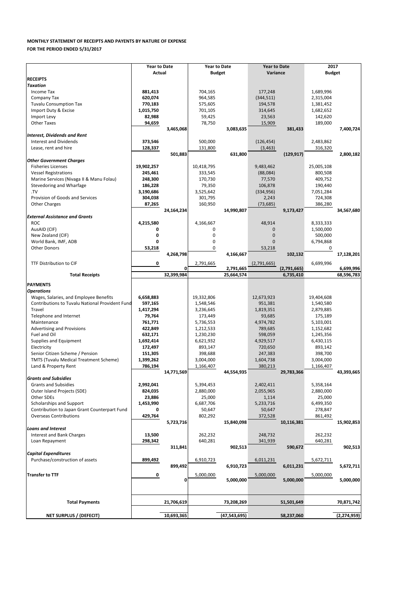| Purchase/construction of assets | 899,492    | 6,910,723      | 6,011,231  | 5,672,711     |
|---------------------------------|------------|----------------|------------|---------------|
|                                 | 899,492    | 6,910,723      | 6,011,231  | 5,672,711     |
| <b>Transfer to TTF</b>          |            | 5,000,000      | 5,000,000  | 5,000,000     |
|                                 |            | 5,000,000      | 5,000,000  | 5,000,000     |
|                                 |            |                |            |               |
| <b>Total Payments</b>           | 21,706,619 | 73,208,269     | 51,501,649 | 70,871,742    |
|                                 |            |                |            |               |
| <b>NET SURPLUS / (DEFECIT)</b>  | 10,693,365 | (47, 543, 695) | 58,237,060 | (2, 274, 959) |

|                                                        | <b>Year to Date</b> |            | <b>Year to Date</b> |                         | <b>Year to Date</b> |             | 2017          |            |
|--------------------------------------------------------|---------------------|------------|---------------------|-------------------------|---------------------|-------------|---------------|------------|
|                                                        | <b>Actual</b>       |            | <b>Budget</b>       |                         | Variance            |             | <b>Budget</b> |            |
| <b>RECEIPTS</b>                                        |                     |            |                     |                         |                     |             |               |            |
| <b>Taxation</b>                                        |                     |            |                     |                         |                     |             |               |            |
| Income Tax                                             | 881,413             |            | 704,165             |                         | 177,248             |             | 1,689,996     |            |
| Company Tax                                            | 620,074             |            | 964,585             |                         | (344, 511)          |             | 2,315,004     |            |
| <b>Tuvalu Consumption Tax</b>                          | 770,183             |            | 575,605             |                         | 194,578             |             | 1,381,452     |            |
| Import Duty & Excise                                   | 1,015,750           |            | 701,105             |                         | 314,645             |             | 1,682,652     |            |
| Import Levy                                            | 82,988              |            | 59,425              |                         | 23,563              |             | 142,620       |            |
| <b>Other Taxes</b>                                     | 94,659              |            | 78,750              |                         | 15,909              |             | 189,000       |            |
|                                                        |                     | 3,465,068  |                     | 3,083,635               |                     | 381,433     |               | 7,400,724  |
| <b>Interest, Dividends and Rent</b>                    |                     |            |                     |                         |                     |             |               |            |
| <b>Interest and Dividends</b>                          | 373,546             |            | 500,000             |                         | (126, 454)          |             | 2,483,862     |            |
| Lease, rent and hire                                   | 128,337             |            | 131,800             |                         | (3, 463)            |             | 316,320       |            |
|                                                        |                     | 501,883    |                     | 631,800                 |                     | (129, 917)  |               | 2,800,182  |
| <b>Other Government Charges</b>                        |                     |            |                     |                         |                     |             |               |            |
| <b>Fisheries Licenses</b>                              | 19,902,257          |            | 10,418,795          |                         | 9,483,462           |             | 25,005,108    |            |
| <b>Vessel Registrations</b>                            | 245,461             |            | 333,545             |                         | (88,084)            |             | 800,508       |            |
| Marine Services (Nivaga II & Manu Folau)               | 248,300             |            | 170,730             |                         | 77,570              |             | 409,752       |            |
| Stevedoring and Wharfage                               | 186,228             |            | 79,350              |                         | 106,878             |             | 190,440       |            |
| .TV                                                    | 3,190,686           |            | 3,525,642           |                         | (334, 956)          |             | 7,051,284     |            |
| Provision of Goods and Services                        | 304,038             |            | 301,795             |                         | 2,243               |             | 724,308       |            |
| <b>Other Charges</b>                                   | 87,265              |            | 160,950             |                         | (73, 685)           |             | 386,280       |            |
|                                                        |                     | 24,164,234 |                     | 14,990,807              |                     | 9,173,427   |               | 34,567,680 |
| <b>External Assistance and Grants</b>                  |                     |            |                     |                         |                     |             |               |            |
| <b>ROC</b>                                             | 4,215,580           |            | 4,166,667           |                         | 48,914              |             | 8,333,333     |            |
| AusAID (CIF)                                           | 0                   |            | 0                   |                         | $\mathbf 0$         |             | 1,500,000     |            |
| New Zealand (CIF)                                      | 0                   |            | 0                   |                         | $\Omega$            |             | 500,000       |            |
| World Bank, IMF, ADB                                   | 0                   |            | 0                   |                         | $\Omega$            |             | 6,794,868     |            |
| <b>Other Donors</b>                                    | 53,218              |            | $\mathbf 0$         |                         | 53,218              |             | 0             |            |
|                                                        |                     | 4,268,798  |                     | 4,166,667               |                     | 102,132     |               | 17,128,201 |
| TTF Distribution to CIF                                | 0                   |            |                     |                         |                     |             | 6,699,996     |            |
|                                                        |                     |            |                     |                         |                     |             |               |            |
|                                                        |                     | 0          | 2,791,665           |                         | (2,791,665)         |             |               |            |
|                                                        |                     | 32,399,984 |                     | 2,791,665<br>25,664,574 |                     | (2,791,665) |               | 6,699,996  |
| <b>Total Receipts</b>                                  |                     |            |                     |                         |                     | 6,735,410   |               | 68,596,783 |
| <b>PAYMENTS</b>                                        |                     |            |                     |                         |                     |             |               |            |
| <b>Operations</b>                                      |                     |            |                     |                         |                     |             |               |            |
| Wages, Salaries, and Employee Benefits                 | 6,658,883           |            | 19,332,806          |                         | 12,673,923          |             | 19,404,608    |            |
| <b>Contributions to Tuvalu National Provident Fund</b> | 597,165             |            | 1,548,546           |                         | 951,381             |             | 1,540,580     |            |
| Travel                                                 | 1,417,294           |            | 3,236,645           |                         | 1,819,351           |             | 2,879,885     |            |
| Telephone and Internet                                 | 79,764              |            | 173,449             |                         | 93,685              |             | 175,189       |            |
| Maintenance                                            | 761,771             |            | 5,736,553           |                         | 4,974,782           |             | 5,103,001     |            |
| <b>Advertising and Provisions</b>                      | 422,849             |            | 1,212,533           |                         | 789,685             |             | 1,152,682     |            |
| Fuel and Oil                                           | 632,171             |            | 1,230,230           |                         | 598,059             |             | 1,245,356     |            |
| Supplies and Equipment                                 | 1,692,414           |            | 6,621,932           |                         | 4,929,517           |             | 6,430,115     |            |
| Electricity                                            | 172,497             |            | 893,147             |                         | 720,650             |             | 893,142       |            |
| Senior Citizen Scheme / Pension                        | 151,305             |            | 398,688             |                         | 247,383             |             | 398,700       |            |
| <b>TMTS (Tuvalu Medical Treatment Scheme)</b>          | 1,399,262           |            | 3,004,000           |                         | 1,604,738           |             | 3,004,000     |            |
| Land & Property Rent                                   | 786,194             |            | 1,166,407           |                         | 380,213             |             | 1,166,407     |            |
|                                                        |                     | 14,771,569 |                     | 44,554,935              |                     | 29,783,366  |               | 43,393,665 |
| <b>Grants and Subsidies</b>                            |                     |            |                     |                         |                     |             |               |            |
| <b>Grants and Subsidies</b>                            | 2,992,041           |            | 5,394,453           |                         | 2,402,411           |             | 5,358,164     |            |
| Outer Island Projects (SDE)                            | 824,035             |            | 2,880,000           |                         | 2,055,965           |             | 2,880,000     |            |
| Other SDEs                                             | 23,886              |            | 25,000              |                         | 1,114               |             | 25,000        |            |
| Scholarships and Support                               | 1,453,990           |            | 6,687,706           |                         | 5,233,716           |             | 6,499,350     |            |
| Contribution to Japan Grant Counterpart Fund           | 0                   |            | 50,647              |                         | 50,647              |             | 278,847       |            |
| <b>Overseas Contributions</b>                          | 429,764             |            | 802,292             |                         | 372,528             |             | 861,492       |            |
|                                                        |                     | 5,723,716  |                     | 15,840,098              |                     | 10,116,381  |               | 15,902,853 |
| <b>Loans and Interest</b>                              |                     |            |                     |                         |                     |             |               |            |
| Interest and Bank Charges                              | 13,500              |            | 262,232             |                         | 248,732             |             | 262,232       |            |
| Loan Repayment                                         | 298,342             |            | 640,281             |                         | 341,939             |             | 640,281       |            |
|                                                        |                     | 311,841    |                     | 902,513                 |                     | 590,672     |               | 902,513    |

## **MONTHLY STATEMENT OF RECEIPTS AND PAYENTS BY NATURE OF EXPENSE FOR THE PERIOD ENDED 5/31/2017**